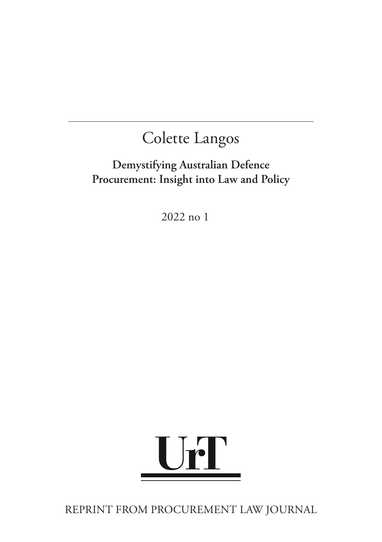# **Demystifying Australian Defence Procurement: Insight into Law and Policy**

2022 no 1



REPRINT FROM PROCUREMENT LAW JOURNAL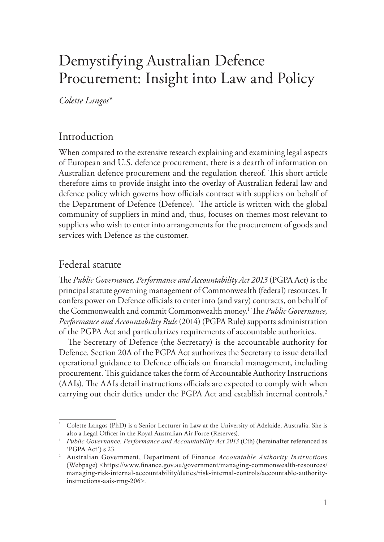# Demystifying Australian Defence Procurement: Insight into Law and Policy

*Colette Langos\**

## Introduction

When compared to the extensive research explaining and examining legal aspects of European and U.S. defence procurement, there is a dearth of information on Australian defence procurement and the regulation thereof. This short article therefore aims to provide insight into the overlay of Australian federal law and defence policy which governs how officials contract with suppliers on behalf of the Department of Defence (Defence). The article is written with the global community of suppliers in mind and, thus, focuses on themes most relevant to suppliers who wish to enter into arrangements for the procurement of goods and services with Defence as the customer.

## Federal statute

The *Public Governance, Performance and Accountability Act 2013* (PGPA Act) is the principal statute governing management of Commonwealth (federal) resources. It confers power on Defence officials to enter into (and vary) contracts, on behalf of the Commonwealth and commit Commonwealth money.1 The *Public Governance, Performance and Accountability Rule* (2014) (PGPA Rule) supports administration of the PGPA Act and particularizes requirements of accountable authorities.

The Secretary of Defence (the Secretary) is the accountable authority for Defence. Section 20A of the PGPA Act authorizes the Secretary to issue detailed operational guidance to Defence officials on financial management, including procurement. This guidance takes the form of Accountable Authority Instructions (AAIs). The AAIs detail instructions officials are expected to comply with when carrying out their duties under the PGPA Act and establish internal controls.<sup>2</sup>

Colette Langos (PhD) is a Senior Lecturer in Law at the University of Adelaide, Australia. She is also a Legal Officer in the Royal Australian Air Force (Reserves).

<sup>1</sup> *Public Governance, Performance and Accountability Act 2013* (Cth) (hereinafter referenced as 'PGPA Act') s 23.

<sup>&</sup>lt;sup>2</sup> Australian Government, Department of Finance *Accountable Authority Instructions* (Webpage) <https://www.finance.gov.au/government/managing-commonwealth-resources/ managing-risk-internal-accountability/duties/risk-internal-controls/accountable-authorityinstructions-aais-rmg-206>.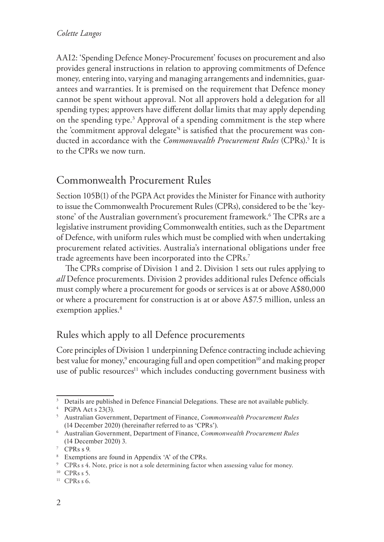AAI2: 'Spending Defence Money-Procurement' focuses on procurement and also provides general instructions in relation to approving commitments of Defence money*,* entering into, varying and managing arrangements and indemnities, guarantees and warranties. It is premised on the requirement that Defence money cannot be spent without approval. Not all approvers hold a delegation for all spending types; approvers have different dollar limits that may apply depending on the spending type.<sup>3</sup> Approval of a spending commitment is the step where the 'commitment approval delegate<sup>'4</sup> is satisfied that the procurement was conducted in accordance with the *Commonwealth Procurement Rules* (CPRs).5 It is to the CPRs we now turn.

## Commonwealth Procurement Rules

Section 105B(1) of the PGPA Act provides the Minister for Finance with authority to issue the Commonwealth Procurement Rules (CPRs), considered to be the 'keystone' of the Australian government's procurement framework.6 The CPRs are a legislative instrument providing Commonwealth entities, such as the Department of Defence, with uniform rules which must be complied with when undertaking procurement related activities. Australia's international obligations under free trade agreements have been incorporated into the CPRs.7

The CPRs comprise of Division 1 and 2. Division 1 sets out rules applying to *all* Defence procurements. Division 2 provides additional rules Defence officials must comply where a procurement for goods or services is at or above A\$80,000 or where a procurement for construction is at or above A\$7.5 million, unless an exemption applies.<sup>8</sup>

## Rules which apply to all Defence procurements

Core principles of Division 1 underpinning Defence contracting include achieving best value for money, $^9$  encouraging full and open competition $^{\rm 10}$  and making proper use of public resources<sup>11</sup> which includes conducting government business with

<sup>&</sup>lt;sup>3</sup> Details are published in Defence Financial Delegations. These are not available publicly.

<sup>&</sup>lt;sup>4</sup> PGPA Act s 23(3).

<sup>5</sup>Australian Government, Department of Finance, *Commonwealth Procurement Rules* (14 December 2020) (hereinafter referred to as 'CPRs').

<sup>6</sup>Australian Government, Department of Finance, *Commonwealth Procurement Rules* (14 December 2020) 3.

 $7$  CPRs s 9.

<sup>8</sup>Exemptions are found in Appendix 'A' of the CPRs.

<sup>&</sup>lt;sup>9</sup> CPRs s 4. Note, price is not a sole determining factor when assessing value for money.

 $10$  CPRs s 5.

 $11$  CPRs s 6.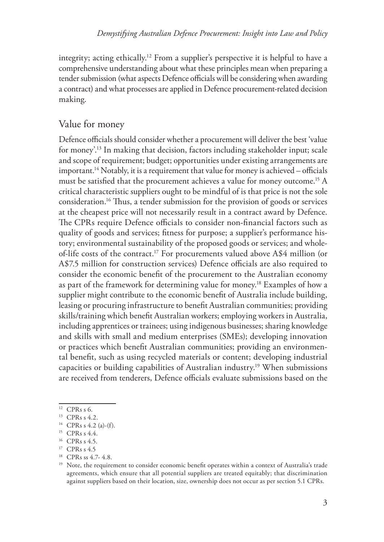integrity; acting ethically.12 From a supplier's perspective it is helpful to have a comprehensive understanding about what these principles mean when preparing a tender submission (what aspects Defence officials will be considering when awarding a contract) and what processes are applied in Defence procurement-related decision making.

#### Value for money

Defence officials should consider whether a procurement will deliver the best 'value for money'.13 In making that decision, factors including stakeholder input; scale and scope of requirement; budget; opportunities under existing arrangements are important.<sup>14</sup> Notably, it is a requirement that value for money is achieved – officials must be satisfied that the procurement achieves a value for money outcome.<sup>15</sup> A critical characteristic suppliers ought to be mindful of is that price is not the sole consideration.16 Thus, a tender submission for the provision of goods or services at the cheapest price will not necessarily result in a contract award by Defence. The CPRs require Defence officials to consider non-financial factors such as quality of goods and services; fitness for purpose; a supplier's performance history; environmental sustainability of the proposed goods or services; and wholeof-life costs of the contract.17 For procurements valued above A\$4 million (or A\$7.5 million for construction services) Defence officials are also required to consider the economic benefit of the procurement to the Australian economy as part of the framework for determining value for money.<sup>18</sup> Examples of how a supplier might contribute to the economic benefit of Australia include building, leasing or procuring infrastructure to benefit Australian communities; providing skills/training which benefit Australian workers; employing workers in Australia, including apprentices or trainees; using indigenous businesses; sharing knowledge and skills with small and medium enterprises (SMEs); developing innovation or practices which benefit Australian communities; providing an environmental benefit, such as using recycled materials or content; developing industrial capacities or building capabilities of Australian industry.19 When submissions are received from tenderers, Defence officials evaluate submissions based on the

<sup>12</sup> CPRs s 6.

<sup>13</sup> CPRs s 4.2.

<sup>&</sup>lt;sup>14</sup> CPRs s 4.2 (a)-(f).

<sup>15</sup> CPRs s 4.4.

 $16$  CPRs s 4.5.

<sup>&</sup>lt;sup>17</sup> CPRs s 4.5

<sup>18</sup> CPRs ss 4.7- 4.8.

<sup>&</sup>lt;sup>19</sup> Note, the requirement to consider economic benefit operates within a context of Australia's trade agreements, which ensure that all potential suppliers are treated equitably; that discrimination against suppliers based on their location, size, ownership does not occur as per section 5.1 CPRs.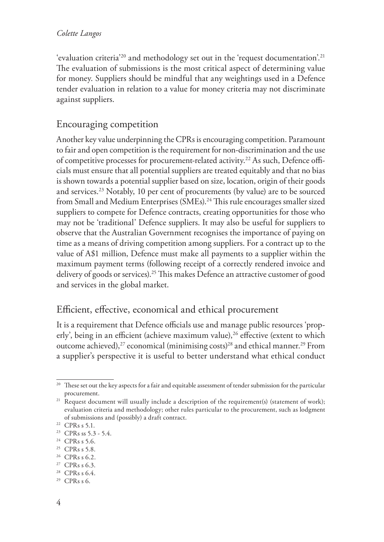'evaluation criteria'20 and methodology set out in the 'request documentation'.21 The evaluation of submissions is the most critical aspect of determining value for money. Suppliers should be mindful that any weightings used in a Defence tender evaluation in relation to a value for money criteria may not discriminate against suppliers.

## Encouraging competition

Another key value underpinning the CPRs is encouraging competition. Paramount to fair and open competition is the requirement for non-discrimination and the use of competitive processes for procurement-related activity.<sup>22</sup> As such, Defence officials must ensure that all potential suppliers are treated equitably and that no bias is shown towards a potential supplier based on size, location, origin of their goods and services.23 Notably, 10 per cent of procurements (by value) are to be sourced from Small and Medium Enterprises (SMEs).<sup>24</sup> This rule encourages smaller sized suppliers to compete for Defence contracts, creating opportunities for those who may not be 'traditional' Defence suppliers. It may also be useful for suppliers to observe that the Australian Government recognises the importance of paying on time as a means of driving competition among suppliers. For a contract up to the value of A\$1 million, Defence must make all payments to a supplier within the maximum payment terms (following receipt of a correctly rendered invoice and delivery of goods or services).25 This makes Defence an attractive customer of good and services in the global market.

## Efficient, effective, economical and ethical procurement

It is a requirement that Defence officials use and manage public resources 'properly', being in an efficient (achieve maximum value),<sup>26</sup> effective (extent to which outcome achieved),<sup>27</sup> economical (minimising costs)<sup>28</sup> and ethical manner.<sup>29</sup> From a supplier's perspective it is useful to better understand what ethical conduct

<sup>&</sup>lt;sup>20</sup> These set out the key aspects for a fair and equitable assessment of tender submission for the particular procurement.

<sup>&</sup>lt;sup>21</sup> Request document will usually include a description of the requirement(s) (statement of work); evaluation criteria and methodology; other rules particular to the procurement, such as lodgment of submissions and (possibly) a draft contract.

<sup>22</sup> CPRs s 5.1.

<sup>23</sup> CPRs ss 5.3 - 5.4.

 $24$  CPRs s 5.6.

<sup>25</sup> CPRs s 5.8.

<sup>26</sup> CPRs s 6.2.

<sup>27</sup> CPRs s 6.3.

 $28$  CPRs s 6.4.

<sup>29</sup> CPRs s 6.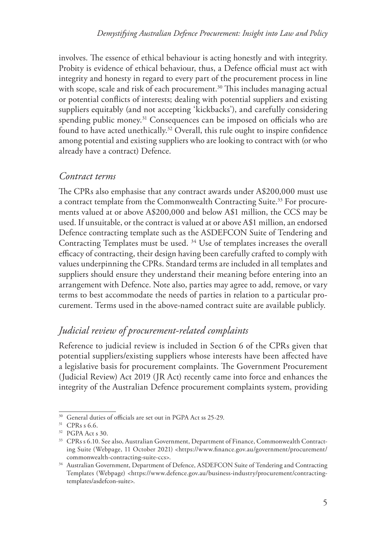involves. The essence of ethical behaviour is acting honestly and with integrity. Probity is evidence of ethical behaviour, thus, a Defence official must act with integrity and honesty in regard to every part of the procurement process in line with scope, scale and risk of each procurement.<sup>30</sup> This includes managing actual or potential conflicts of interests; dealing with potential suppliers and existing suppliers equitably (and not accepting 'kickbacks'), and carefully considering spending public money.<sup>31</sup> Consequences can be imposed on officials who are found to have acted unethically.<sup>32</sup> Overall, this rule ought to inspire confidence among potential and existing suppliers who are looking to contract with (or who already have a contract) Defence.

#### *Contract terms*

The CPRs also emphasise that any contract awards under A\$200,000 must use a contract template from the Commonwealth Contracting Suite.<sup>33</sup> For procurements valued at or above A\$200,000 and below A\$1 million, the CCS may be used. If unsuitable, or the contract is valued at or above A\$1 million, an endorsed Defence contracting template such as the ASDEFCON Suite of Tendering and Contracting Templates must be used. 34 Use of templates increases the overall efficacy of contracting, their design having been carefully crafted to comply with values underpinning the CPRs. Standard terms are included in all templates and suppliers should ensure they understand their meaning before entering into an arrangement with Defence. Note also, parties may agree to add, remove, or vary terms to best accommodate the needs of parties in relation to a particular procurement. Terms used in the above-named contract suite are available publicly.

## *Judicial review of procurement-related complaints*

Reference to judicial review is included in Section 6 of the CPRs given that potential suppliers/existing suppliers whose interests have been affected have a legislative basis for procurement complaints. The Government Procurement (Judicial Review) Act 2019 (JR Act) recently came into force and enhances the integrity of the Australian Defence procurement complaints system, providing

<sup>&</sup>lt;sup>30</sup> General duties of officials are set out in PGPA Act ss 25-29.

<sup>&</sup>lt;sup>31</sup> CPRs s 6.6.

<sup>32</sup> PGPA Act s 30.

<sup>33</sup> CPRs s 6.10. See also, Australian Government, Department of Finance, Commonwealth Contracting Suite (Webpage, 11 October 2021) <https://www.finance.gov.au/government/procurement/ commonwealth-contracting-suite-ccs>.

<sup>&</sup>lt;sup>34</sup> Australian Government, Department of Defence, ASDEFCON Suite of Tendering and Contracting Templates (Webpage) <https://www.defence.gov.au/business-industry/procurement/contractingtemplates/asdefcon-suite>.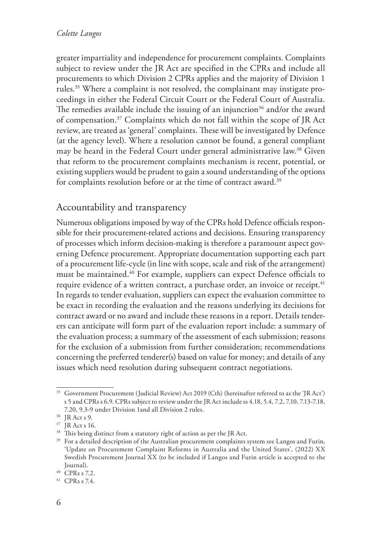greater impartiality and independence for procurement complaints. Complaints subject to review under the JR Act are specified in the CPRs and include all procurements to which Division 2 CPRs applies and the majority of Division 1 rules.35 Where a complaint is not resolved, the complainant may instigate proceedings in either the Federal Circuit Court or the Federal Court of Australia. The remedies available include the issuing of an injunction<sup>36</sup> and/or the award of compensation.37 Complaints which do not fall within the scope of JR Act review, are treated as 'general' complaints. These will be investigated by Defence (at the agency level). Where a resolution cannot be found, a general compliant may be heard in the Federal Court under general administrative law.<sup>38</sup> Given that reform to the procurement complaints mechanism is recent, potential, or existing suppliers would be prudent to gain a sound understanding of the options for complaints resolution before or at the time of contract award.<sup>39</sup>

## Accountability and transparency

Numerous obligations imposed by way of the CPRs hold Defence officials responsible for their procurement-related actions and decisions. Ensuring transparency of processes which inform decision-making is therefore a paramount aspect governing Defence procurement. Appropriate documentation supporting each part of a procurement life-cycle (in line with scope, scale and risk of the arrangement) must be maintained.40 For example, suppliers can expect Defence officials to require evidence of a written contract, a purchase order, an invoice or receipt.<sup>41</sup> In regards to tender evaluation, suppliers can expect the evaluation committee to be exact in recording the evaluation and the reasons underlying its decisions for contract award or no award and include these reasons in a report. Details tenderers can anticipate will form part of the evaluation report include: a summary of the evaluation process; a summary of the assessment of each submission; reasons for the exclusion of a submission from further consideration; recommendations concerning the preferred tenderer(s) based on value for money; and details of any issues which need resolution during subsequent contract negotiations.

<sup>35</sup> Government Procurement (Judicial Review) Act 2019 (Cth) (hereinafter referred to as the 'JR Act') s 5 and CPRs s 6.9. CPRs subject to review under the JR Act include ss 4.18, 5.4, 7.2, 7.10, 7.13-7.18, 7.20, 9.3-9 under Division 1and all Division 2 rules.

<sup>36</sup> JR Act s 9.

<sup>37</sup> JR Act s 16.

<sup>&</sup>lt;sup>38</sup> This being distinct from a statutory right of action as per the JR Act.

<sup>&</sup>lt;sup>39</sup> For a detailed description of the Australian procurement complaints system see Langos and Furin, 'Update on Procurement Complaint Reforms in Australia and the United States', (2022) XX Swedish Procurement Journal XX (to be included if Langos and Furin article is accepted to the Journal).

<sup>40</sup> CPRs s 7.2.

<sup>41</sup> CPRs s 7.4.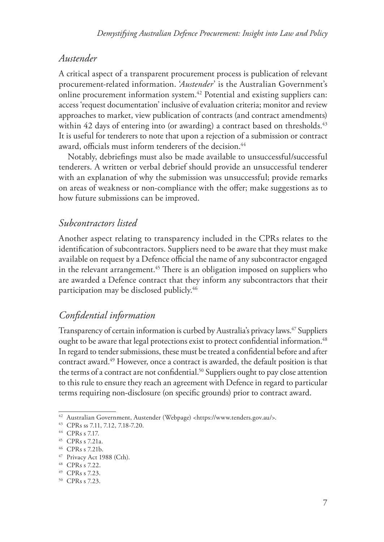#### *Austender*

A critical aspect of a transparent procurement process is publication of relevant procurement-related information. '*Austender*' is the Australian Government's online procurement information system.42 Potential and existing suppliers can: access 'request documentation' inclusive of evaluation criteria; monitor and review approaches to market, view publication of contracts (and contract amendments) within 42 days of entering into (or awarding) a contract based on thresholds.  $43$ It is useful for tenderers to note that upon a rejection of a submission or contract award, officials must inform tenderers of the decision.<sup>44</sup>

Notably, debriefings must also be made available to unsuccessful/successful tenderers. A written or verbal debrief should provide an unsuccessful tenderer with an explanation of why the submission was unsuccessful; provide remarks on areas of weakness or non-compliance with the offer; make suggestions as to how future submissions can be improved.

#### *Subcontractors listed*

Another aspect relating to transparency included in the CPRs relates to the identification of subcontractors. Suppliers need to be aware that they must make available on request by a Defence official the name of any subcontractor engaged in the relevant arrangement.<sup>45</sup> There is an obligation imposed on suppliers who are awarded a Defence contract that they inform any subcontractors that their participation may be disclosed publicly.<sup>46</sup>

## *Confidential information*

Transparency of certain information is curbed by Australia's privacy laws.<sup>47</sup> Suppliers ought to be aware that legal protections exist to protect confidential information.<sup>48</sup> In regard to tender submissions, these must be treated a confidential before and after contract award.49 However, once a contract is awarded, the default position is that the terms of a contract are not confidential.<sup>50</sup> Suppliers ought to pay close attention to this rule to ensure they reach an agreement with Defence in regard to particular terms requiring non-disclosure (on specific grounds) prior to contract award.

<sup>42</sup> Australian Government, Austender (Webpage) <https://www.tenders.gov.au/>.

<sup>43</sup> CPRs ss 7.11, 7.12, 7.18-7.20.

<sup>44</sup> CPRs s 7.17.

<sup>45</sup> CPRs s 7.21a.

<sup>46</sup> CPRs s 7.21b.

<sup>47</sup> Privacy Act 1988 (Cth).

<sup>48</sup> CPRs s 7.22.

<sup>49</sup> CPRs s 7.23.

<sup>50</sup> CPRs s 7.23.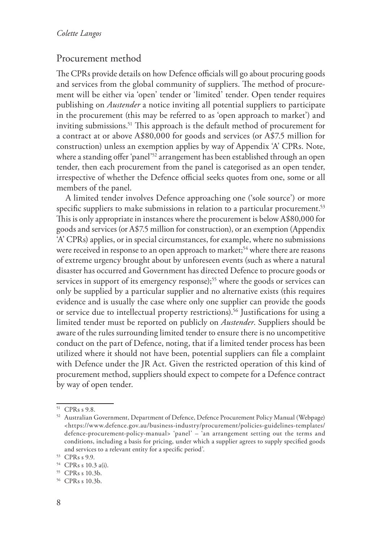#### Procurement method

The CPRs provide details on how Defence officials will go about procuring goods and services from the global community of suppliers. The method of procurement will be either via 'open' tender or 'limited' tender. Open tender requires publishing on *Austender* a notice inviting all potential suppliers to participate in the procurement (this may be referred to as 'open approach to market') and inviting submissions.<sup>51</sup> This approach is the default method of procurement for a contract at or above A\$80,000 for goods and services (or A\$7.5 million for construction) unless an exemption applies by way of Appendix 'A' CPRs. Note, where a standing offer 'panel'<sup>52</sup> arrangement has been established through an open tender, then each procurement from the panel is categorised as an open tender, irrespective of whether the Defence official seeks quotes from one, some or all members of the panel.

A limited tender involves Defence approaching one ('sole source') or more specific suppliers to make submissions in relation to a particular procurement.<sup>53</sup> This is only appropriate in instances where the procurement is below A\$80,000 for goods and services (or A\$7.5 million for construction), or an exemption (Appendix 'A' CPRs) applies, or in special circumstances, for example, where no submissions were received in response to an open approach to market;<sup>54</sup> where there are reasons of extreme urgency brought about by unforeseen events (such as where a natural disaster has occurred and Government has directed Defence to procure goods or services in support of its emergency response);<sup>55</sup> where the goods or services can only be supplied by a particular supplier and no alternative exists (this requires evidence and is usually the case where only one supplier can provide the goods or service due to intellectual property restrictions).56 Justifications for using a limited tender must be reported on publicly on *Austender*. Suppliers should be aware of the rules surrounding limited tender to ensure there is no uncompetitive conduct on the part of Defence, noting, that if a limited tender process has been utilized where it should not have been, potential suppliers can file a complaint with Defence under the JR Act. Given the restricted operation of this kind of procurement method, suppliers should expect to compete for a Defence contract by way of open tender.

<sup>51</sup> CPRs s 9.8.

<sup>52</sup> Australian Government, Department of Defence, Defence Procurement Policy Manual (Webpage) <https://www.defence.gov.au/business-industry/procurement/policies-guidelines-templates/ defence-procurement-policy-manual> 'panel' – 'an arrangement setting out the terms and conditions, including a basis for pricing, under which a supplier agrees to supply specified goods and services to a relevant entity for a specific period'.

<sup>53</sup> CPRs s 9.9.

<sup>54</sup> CPRs s 10.3 a(i).

<sup>55</sup> CPRs s 10.3b.

<sup>56</sup> CPRs s 10.3b.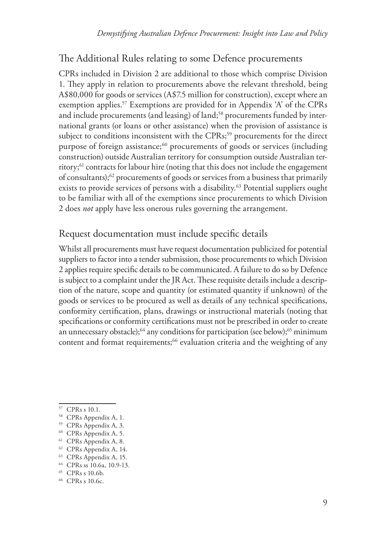## The Additional Rules relating to some Defence procurements

CPRs included in Division 2 are additional to those which comprise Division 1. They apply in relation to procurements above the relevant threshold, being A\$80,000 for goods or services (A\$7.5 million for construction), except where an exemption applies.<sup>57</sup> Exemptions are provided for in Appendix 'A' of the CPRs and include procurements (and leasing) of land;<sup>58</sup> procurements funded by international grants (or loans or other assistance) when the provision of assistance is subject to conditions inconsistent with the CPRs;<sup>59</sup> procurements for the direct purpose of foreign assistance;<sup>60</sup> procurements of goods or services (including construction) outside Australian territory for consumption outside Australian territory;61 contracts for labour hire (noting that this does not include the engagement of consultants); $62$  procurements of goods or services from a business that primarily exists to provide services of persons with a disability.<sup>63</sup> Potential suppliers ought to be familiar with all of the exemptions since procurements to which Division 2 does *not* apply have less onerous rules governing the arrangement.

#### Request documentation must include specific details

Whilst all procurements must have request documentation publicized for potential suppliers to factor into a tender submission, those procurements to which Division 2 applies require specific details to be communicated. A failure to do so by Defence is subject to a complaint under the JR Act. These requisite details include a description of the nature, scope and quantity (or estimated quantity if unknown) of the goods or services to be procured as well as details of any technical specifications, conformity certification, plans, drawings or instructional materials (noting that specifications or conformity certifications must not be prescribed in order to create an unnecessary obstacle);<sup>64</sup> any conditions for participation (see below);<sup>65</sup> minimum content and format requirements;<sup>66</sup> evaluation criteria and the weighting of any

<sup>57</sup> CPRs s 10.1.

<sup>58</sup> CPRs Appendix A, 1.

<sup>59</sup> CPRs Appendix A, 3.

<sup>60</sup> CPRs Appendix A, 5.

<sup>61</sup> CPRs Appendix A, 8.

<sup>62</sup> CPRs Appendix A, 14.

<sup>63</sup> CPRs Appendix A, 15.

<sup>64</sup> CPRs ss 10.6a, 10.9-13.

<sup>65</sup> CPRs s 10.6b.

<sup>66</sup> CPRs s 10.6c.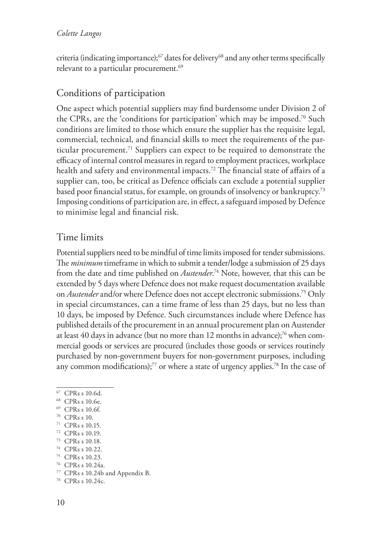criteria (indicating importance); $^{67}$  dates for delivery $^{68}$  and any other terms specifically relevant to a particular procurement.<sup>69</sup>

## Conditions of participation

One aspect which potential suppliers may find burdensome under Division 2 of the CPRs, are the 'conditions for participation' which may be imposed.70 Such conditions are limited to those which ensure the supplier has the requisite legal, commercial, technical, and financial skills to meet the requirements of the particular procurement.71 Suppliers can expect to be required to demonstrate the efficacy of internal control measures in regard to employment practices, workplace health and safety and environmental impacts.<sup>72</sup> The financial state of affairs of a supplier can, too, be critical as Defence officials can exclude a potential supplier based poor financial status, for example, on grounds of insolvency or bankruptcy.73 Imposing conditions of participation are, in effect, a safeguard imposed by Defence to minimise legal and financial risk.

## Time limits

Potential suppliers need to be mindful of time limits imposed for tender submissions. The *minimum* timeframe in which to submit a tender/lodge a submission of 25 days from the date and time published on *Austender*. 74 Note, however, that this can be extended by 5 days where Defence does not make request documentation available on *Austender* and/or where Defence does not accept electronic submissions.75 Only in special circumstances, can a time frame of less than 25 days, but no less than 10 days, be imposed by Defence. Such circumstances include where Defence has published details of the procurement in an annual procurement plan on Austender at least 40 days in advance (but no more than 12 months in advance);<sup>76</sup> when commercial goods or services are procured (includes those goods or services routinely purchased by non-government buyers for non-government purposes, including any common modifications); $77$  or where a state of urgency applies. $78$  In the case of

- 67 CPRs s 10.6d.
- 68 CPRs s 10.6e.
- 69 CPRs s 10.6f.
- 70 CPRs s 10.
- 71 CPRs s 10.15.
- 72 CPRs s 10.19.
- 73 CPRs s 10.18.
- 74 CPRs s 10.22.
- 75 CPRs s 10.23.
- 76 CPRs s 10.24a.

<sup>77</sup> CPRs s 10.24b and Appendix B.

<sup>78</sup> CPRs s 10.24c.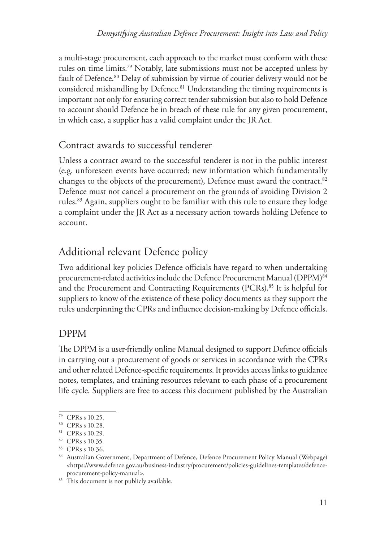a multi-stage procurement, each approach to the market must conform with these rules on time limits.<sup>79</sup> Notably, late submissions must not be accepted unless by fault of Defence.<sup>80</sup> Delay of submission by virtue of courier delivery would not be considered mishandling by Defence.<sup>81</sup> Understanding the timing requirements is important not only for ensuring correct tender submission but also to hold Defence to account should Defence be in breach of these rule for any given procurement, in which case, a supplier has a valid complaint under the JR Act.

## Contract awards to successful tenderer

Unless a contract award to the successful tenderer is not in the public interest (e.g. unforeseen events have occurred; new information which fundamentally changes to the objects of the procurement), Defence must award the contract.<sup>82</sup> Defence must not cancel a procurement on the grounds of avoiding Division 2 rules.<sup>83</sup> Again, suppliers ought to be familiar with this rule to ensure they lodge a complaint under the JR Act as a necessary action towards holding Defence to account.

# Additional relevant Defence policy

Two additional key policies Defence officials have regard to when undertaking procurement-related activities include the Defence Procurement Manual (DPPM)<sup>84</sup> and the Procurement and Contracting Requirements (PCRs).<sup>85</sup> It is helpful for suppliers to know of the existence of these policy documents as they support the rules underpinning the CPRs and influence decision-making by Defence officials.

## DPPM

The DPPM is a user-friendly online Manual designed to support Defence officials in carrying out a procurement of goods or services in accordance with the CPRs and other related Defence-specific requirements. It provides access links to guidance notes, templates, and training resources relevant to each phase of a procurement life cycle. Suppliers are free to access this document published by the Australian

<sup>79</sup> CPRs s 10.25.

<sup>80</sup> CPRs s 10.28.

<sup>81</sup> CPRs s 10.29.

<sup>82</sup> CPRs s 10.35.

<sup>83</sup> CPRs s 10.36.

<sup>84</sup> Australian Government, Department of Defence, Defence Procurement Policy Manual (Webpage)  $\n <$ https://www.defence.gov.au/business-industry/procurement/policies-guidelines-templates/defenceprocurement-policy-manual>.

<sup>&</sup>lt;sup>85</sup> This document is not publicly available.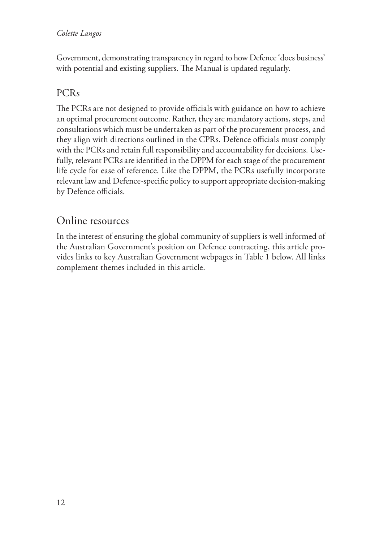Government, demonstrating transparency in regard to how Defence 'does business' with potential and existing suppliers. The Manual is updated regularly.

## PCRs

The PCRs are not designed to provide officials with guidance on how to achieve an optimal procurement outcome. Rather, they are mandatory actions, steps, and consultations which must be undertaken as part of the procurement process, and they align with directions outlined in the CPRs. Defence officials must comply with the PCRs and retain full responsibility and accountability for decisions. Usefully, relevant PCRs are identified in the DPPM for each stage of the procurement life cycle for ease of reference. Like the DPPM, the PCRs usefully incorporate relevant law and Defence-specific policy to support appropriate decision-making by Defence officials.

## Online resources

In the interest of ensuring the global community of suppliers is well informed of the Australian Government's position on Defence contracting, this article provides links to key Australian Government webpages in Table 1 below. All links complement themes included in this article.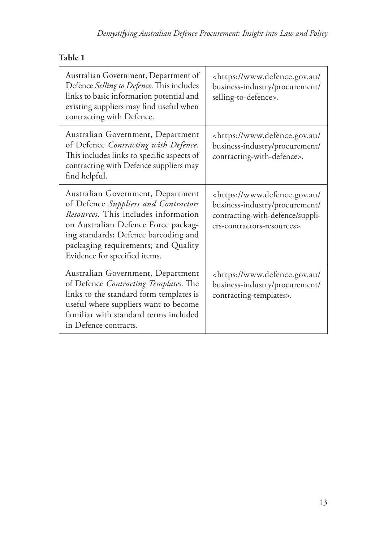| Australian Government, Department of<br>Defence Selling to Defence. This includes<br>links to basic information potential and<br>existing suppliers may find useful when<br>contracting with Defence.                                                                    | <https: <br="" www.defence.gov.au="">business-industry/procurement/<br/>selling-to-defence&gt;.</https:>                                             |
|--------------------------------------------------------------------------------------------------------------------------------------------------------------------------------------------------------------------------------------------------------------------------|------------------------------------------------------------------------------------------------------------------------------------------------------|
| Australian Government, Department<br>of Defence Contracting with Defence.<br>This includes links to specific aspects of<br>contracting with Defence suppliers may<br>find helpful.                                                                                       | <https: <br="" www.defence.gov.au="">business-industry/procurement/<br/>contracting-with-defence&gt;.</https:>                                       |
| Australian Government, Department<br>of Defence Suppliers and Contractors<br>Resources. This includes information<br>on Australian Defence Force packag-<br>ing standards; Defence barcoding and<br>packaging requirements; and Quality<br>Evidence for specified items. | <https: <br="" www.defence.gov.au="">business-industry/procurement/<br/>contracting-with-defence/suppli-<br/>ers-contractors-resources&gt;.</https:> |
| Australian Government, Department<br>of Defence Contracting Templates. The<br>links to the standard form templates is<br>useful where suppliers want to become<br>familiar with standard terms included<br>in Defence contracts.                                         | <https: <br="" www.defence.gov.au="">business-industry/procurement/<br/>contracting-templates&gt;.</https:>                                          |

## **Table 1**